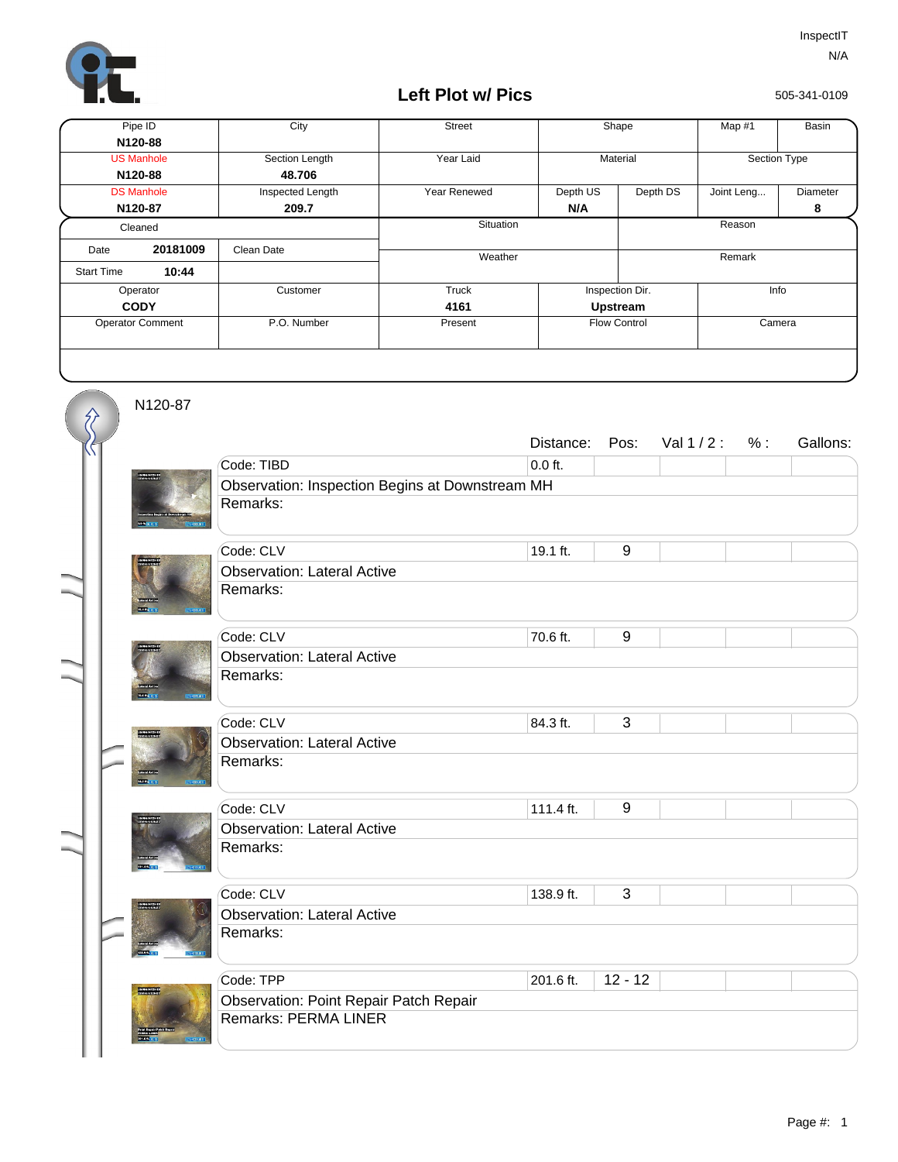

## **Left Plot w/ Pics**

505-341-0109

| Pipe ID                 |                   | City             | <b>Street</b> | Shape               |          | Map #1       | Basin    |
|-------------------------|-------------------|------------------|---------------|---------------------|----------|--------------|----------|
|                         | N120-88           |                  |               |                     |          |              |          |
|                         | <b>US Manhole</b> | Section Length   | Year Laid     | Material            |          | Section Type |          |
|                         | N120-88           | 48.706           |               |                     |          |              |          |
|                         | <b>DS Manhole</b> | Inspected Length | Year Renewed  | Depth US            | Depth DS | Joint Leng   | Diameter |
| N120-87                 |                   | 209.7            |               | N/A                 |          |              | 8        |
| Cleaned                 |                   |                  | Situation     |                     | Reason   |              |          |
| Date                    | 20181009          | Clean Date       |               |                     |          |              |          |
| <b>Start Time</b>       | 10:44             |                  | Weather       |                     |          | Remark       |          |
| Operator                |                   | Customer         | Truck         | Inspection Dir.     |          | Info         |          |
| <b>CODY</b>             |                   |                  | 4161          | <b>Upstream</b>     |          |              |          |
| <b>Operator Comment</b> |                   | P.O. Number      | Present       | <b>Flow Control</b> |          |              | Camera   |
|                         |                   |                  |               |                     |          |              |          |

N120-87

《

| Code: TIBD<br>$0.0$ ft.<br>Observation: Inspection Begins at Downstream MH<br>Remarks:<br>9<br>Code: CLV<br>19.1 ft.<br><b>Observation: Lateral Active</b><br>Remarks:<br>9<br>Code: CLV<br>70.6 ft.<br><b>Observation: Lateral Active</b><br>Remarks:<br>3<br>Code: CLV<br>84.3 ft.<br><b>Observation: Lateral Active</b><br>Remarks:<br><b>SKELL</b><br>$9\,$<br>Code: CLV<br>111.4 ft.<br><b>Observation: Lateral Active</b><br>Remarks:<br>3<br>Code: CLV<br>138.9 ft.<br><b>Observation: Lateral Active</b><br>Remarks:<br>$12 - 12$<br>Code: TPP<br>201.6 ft.<br><b>Observation: Point Repair Patch Repair</b><br><b>Remarks: PERMA LINER</b> |  | Distance: | Pos: | Val $1/2$ : | % : | Gallons: |  |  |  |  |
|-----------------------------------------------------------------------------------------------------------------------------------------------------------------------------------------------------------------------------------------------------------------------------------------------------------------------------------------------------------------------------------------------------------------------------------------------------------------------------------------------------------------------------------------------------------------------------------------------------------------------------------------------------|--|-----------|------|-------------|-----|----------|--|--|--|--|
|                                                                                                                                                                                                                                                                                                                                                                                                                                                                                                                                                                                                                                                     |  |           |      |             |     |          |  |  |  |  |
|                                                                                                                                                                                                                                                                                                                                                                                                                                                                                                                                                                                                                                                     |  |           |      |             |     |          |  |  |  |  |
|                                                                                                                                                                                                                                                                                                                                                                                                                                                                                                                                                                                                                                                     |  |           |      |             |     |          |  |  |  |  |
|                                                                                                                                                                                                                                                                                                                                                                                                                                                                                                                                                                                                                                                     |  |           |      |             |     |          |  |  |  |  |
|                                                                                                                                                                                                                                                                                                                                                                                                                                                                                                                                                                                                                                                     |  |           |      |             |     |          |  |  |  |  |
|                                                                                                                                                                                                                                                                                                                                                                                                                                                                                                                                                                                                                                                     |  |           |      |             |     |          |  |  |  |  |
|                                                                                                                                                                                                                                                                                                                                                                                                                                                                                                                                                                                                                                                     |  |           |      |             |     |          |  |  |  |  |
|                                                                                                                                                                                                                                                                                                                                                                                                                                                                                                                                                                                                                                                     |  |           |      |             |     |          |  |  |  |  |
|                                                                                                                                                                                                                                                                                                                                                                                                                                                                                                                                                                                                                                                     |  |           |      |             |     |          |  |  |  |  |
|                                                                                                                                                                                                                                                                                                                                                                                                                                                                                                                                                                                                                                                     |  |           |      |             |     |          |  |  |  |  |
|                                                                                                                                                                                                                                                                                                                                                                                                                                                                                                                                                                                                                                                     |  |           |      |             |     |          |  |  |  |  |
|                                                                                                                                                                                                                                                                                                                                                                                                                                                                                                                                                                                                                                                     |  |           |      |             |     |          |  |  |  |  |
|                                                                                                                                                                                                                                                                                                                                                                                                                                                                                                                                                                                                                                                     |  |           |      |             |     |          |  |  |  |  |
|                                                                                                                                                                                                                                                                                                                                                                                                                                                                                                                                                                                                                                                     |  |           |      |             |     |          |  |  |  |  |
|                                                                                                                                                                                                                                                                                                                                                                                                                                                                                                                                                                                                                                                     |  |           |      |             |     |          |  |  |  |  |
|                                                                                                                                                                                                                                                                                                                                                                                                                                                                                                                                                                                                                                                     |  |           |      |             |     |          |  |  |  |  |
|                                                                                                                                                                                                                                                                                                                                                                                                                                                                                                                                                                                                                                                     |  |           |      |             |     |          |  |  |  |  |
|                                                                                                                                                                                                                                                                                                                                                                                                                                                                                                                                                                                                                                                     |  |           |      |             |     |          |  |  |  |  |
|                                                                                                                                                                                                                                                                                                                                                                                                                                                                                                                                                                                                                                                     |  |           |      |             |     |          |  |  |  |  |
|                                                                                                                                                                                                                                                                                                                                                                                                                                                                                                                                                                                                                                                     |  |           |      |             |     |          |  |  |  |  |
|                                                                                                                                                                                                                                                                                                                                                                                                                                                                                                                                                                                                                                                     |  |           |      |             |     |          |  |  |  |  |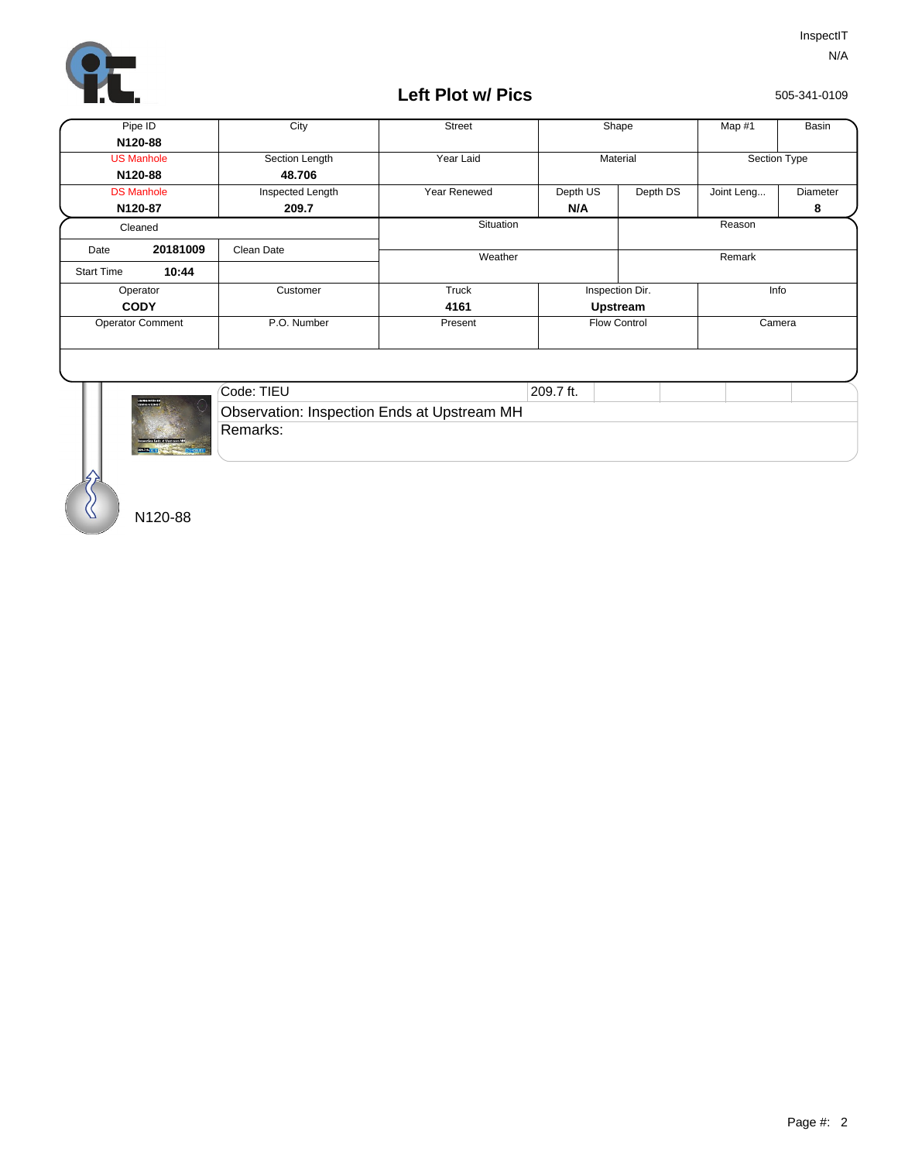

## **Left Plot w/ Pics**

505-341-0109

| Pipe ID                    |          | City             | <b>Street</b> |                     | Shape                   |            | Basin        |
|----------------------------|----------|------------------|---------------|---------------------|-------------------------|------------|--------------|
| N120-88                    |          |                  |               |                     |                         |            |              |
| <b>US Manhole</b>          |          | Section Length   | Year Laid     |                     | Material                |            | Section Type |
| N120-88                    |          | 48.706           |               |                     |                         |            |              |
| <b>DS Manhole</b>          |          | Inspected Length | Year Renewed  | Depth US            | Depth DS                | Joint Leng | Diameter     |
| N120-87                    |          | 209.7            |               | N/A                 |                         |            | 8            |
| Cleaned                    |          |                  | Situation     |                     |                         | Reason     |              |
| Date                       | 20181009 | Clean Date       |               |                     |                         |            |              |
| 10:44<br><b>Start Time</b> |          |                  | Weather       |                     | Remark                  |            |              |
| Operator                   |          | Customer         | Truck         |                     | Info<br>Inspection Dir. |            |              |
| <b>CODY</b>                |          |                  | 4161          | Upstream            |                         |            |              |
| <b>Operator Comment</b>    |          | P.O. Number      | Present       | <b>Flow Control</b> |                         | Camera     |              |
|                            |          |                  |               |                     |                         |            |              |
|                            |          | Code: TIFII      |               | $209.7$ ft          |                         |            |              |



| Code: TIEU                                  | 209.7 ft. |  |  |
|---------------------------------------------|-----------|--|--|
| Observation: Inspection Ends at Upstream MH |           |  |  |
| ⊺Remarks:                                   |           |  |  |

N120-88